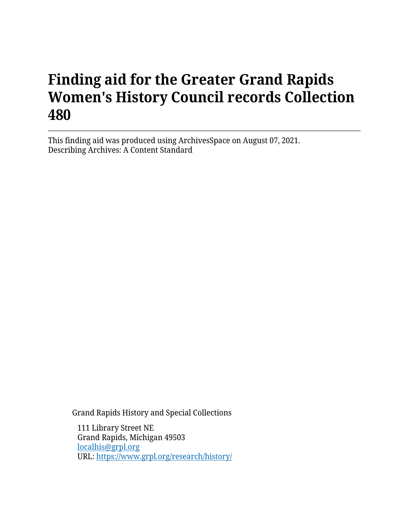# **Finding aid for the Greater Grand Rapids Women's History Council records Collection 480**

This finding aid was produced using ArchivesSpace on August 07, 2021. Describing Archives: A Content Standard

Grand Rapids History and Special Collections

111 Library Street NE Grand Rapids, Michigan 49503 [localhis@grpl.org](mailto:localhis@grpl.org) URL:<https://www.grpl.org/research/history/>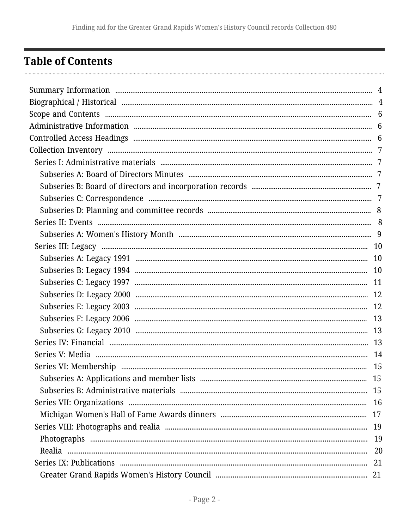# <span id="page-1-0"></span>**Table of Contents**

| 15 |  |
|----|--|
|    |  |
|    |  |
|    |  |
|    |  |
|    |  |
|    |  |
|    |  |
|    |  |
|    |  |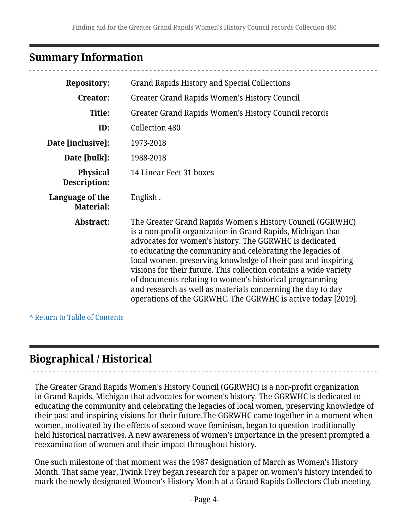# <span id="page-3-0"></span>**Summary Information**

| <b>Repository:</b>                  | <b>Grand Rapids History and Special Collections</b>                                                                                                                                                                                                                                                                                                                                                                                                                                                                                                                              |
|-------------------------------------|----------------------------------------------------------------------------------------------------------------------------------------------------------------------------------------------------------------------------------------------------------------------------------------------------------------------------------------------------------------------------------------------------------------------------------------------------------------------------------------------------------------------------------------------------------------------------------|
| <b>Creator:</b>                     | Greater Grand Rapids Women's History Council                                                                                                                                                                                                                                                                                                                                                                                                                                                                                                                                     |
| Title:                              | Greater Grand Rapids Women's History Council records                                                                                                                                                                                                                                                                                                                                                                                                                                                                                                                             |
| ID:                                 | Collection 480                                                                                                                                                                                                                                                                                                                                                                                                                                                                                                                                                                   |
| Date [inclusive]:                   | 1973-2018                                                                                                                                                                                                                                                                                                                                                                                                                                                                                                                                                                        |
| Date [bulk]:                        | 1988-2018                                                                                                                                                                                                                                                                                                                                                                                                                                                                                                                                                                        |
| <b>Physical</b><br>Description:     | 14 Linear Feet 31 boxes                                                                                                                                                                                                                                                                                                                                                                                                                                                                                                                                                          |
| Language of the<br><b>Material:</b> | English.                                                                                                                                                                                                                                                                                                                                                                                                                                                                                                                                                                         |
| Abstract:                           | The Greater Grand Rapids Women's History Council (GGRWHC)<br>is a non-profit organization in Grand Rapids, Michigan that<br>advocates for women's history. The GGRWHC is dedicated<br>to educating the community and celebrating the legacies of<br>local women, preserving knowledge of their past and inspiring<br>visions for their future. This collection contains a wide variety<br>of documents relating to women's historical programming<br>and research as well as materials concerning the day to day<br>operations of the GGRWHC. The GGRWHC is active today [2019]. |

**^** [Return to Table of Contents](#page-1-0)

# <span id="page-3-1"></span>**Biographical / Historical**

The Greater Grand Rapids Women's History Council (GGRWHC) is a non-profit organization in Grand Rapids, Michigan that advocates for women's history. The GGRWHC is dedicated to educating the community and celebrating the legacies of local women, preserving knowledge of their past and inspiring visions for their future.The GGRWHC came together in a moment when women, motivated by the effects of second-wave feminism, began to question traditionally held historical narratives. A new awareness of women's importance in the present prompted a reexamination of women and their impact throughout history.

One such milestone of that moment was the 1987 designation of March as Women's History Month. That same year, Twink Frey began research for a paper on women's history intended to mark the newly designated Women's History Month at a Grand Rapids Collectors Club meeting.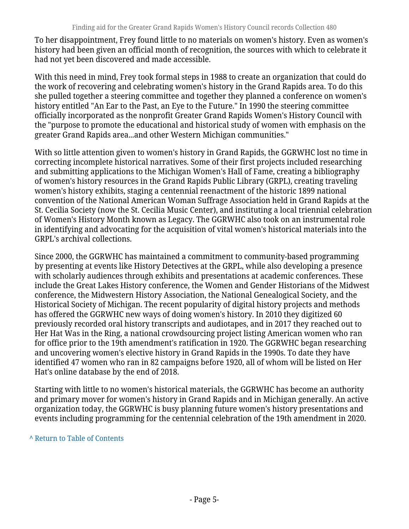To her disappointment, Frey found little to no materials on women's history. Even as women's history had been given an official month of recognition, the sources with which to celebrate it had not yet been discovered and made accessible.

With this need in mind, Frey took formal steps in 1988 to create an organization that could do the work of recovering and celebrating women's history in the Grand Rapids area. To do this she pulled together a steering committee and together they planned a conference on women's history entitled "An Ear to the Past, an Eye to the Future." In 1990 the steering committee officially incorporated as the nonprofit Greater Grand Rapids Women's History Council with the "purpose to promote the educational and historical study of women with emphasis on the greater Grand Rapids area...and other Western Michigan communities."

With so little attention given to women's history in Grand Rapids, the GGRWHC lost no time in correcting incomplete historical narratives. Some of their first projects included researching and submitting applications to the Michigan Women's Hall of Fame, creating a bibliography of women's history resources in the Grand Rapids Public Library (GRPL), creating traveling women's history exhibits, staging a centennial reenactment of the historic 1899 national convention of the National American Woman Suffrage Association held in Grand Rapids at the St. Cecilia Society (now the St. Cecilia Music Center), and instituting a local triennial celebration of Women's History Month known as Legacy. The GGRWHC also took on an instrumental role in identifying and advocating for the acquisition of vital women's historical materials into the GRPL's archival collections.

Since 2000, the GGRWHC has maintained a commitment to community-based programming by presenting at events like History Detectives at the GRPL, while also developing a presence with scholarly audiences through exhibits and presentations at academic conferences. These include the Great Lakes History conference, the Women and Gender Historians of the Midwest conference, the Midwestern History Association, the National Genealogical Society, and the Historical Society of Michigan. The recent popularity of digital history projects and methods has offered the GGRWHC new ways of doing women's history. In 2010 they digitized 60 previously recorded oral history transcripts and audiotapes, and in 2017 they reached out to Her Hat Was in the Ring, a national crowdsourcing project listing American women who ran for office prior to the 19th amendment's ratification in 1920. The GGRWHC began researching and uncovering women's elective history in Grand Rapids in the 1990s. To date they have identified 47 women who ran in 82 campaigns before 1920, all of whom will be listed on Her Hat's online database by the end of 2018.

Starting with little to no women's historical materials, the GGRWHC has become an authority and primary mover for women's history in Grand Rapids and in Michigan generally. An active organization today, the GGRWHC is busy planning future women's history presentations and events including programming for the centennial celebration of the 19th amendment in 2020.

### **^** [Return to Table of Contents](#page-1-0)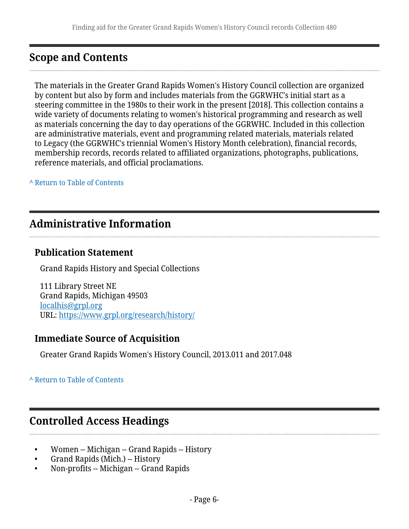# <span id="page-5-0"></span>**Scope and Contents**

The materials in the Greater Grand Rapids Women's History Council collection are organized by content but also by form and includes materials from the GGRWHC's initial start as a steering committee in the 1980s to their work in the present [2018]. This collection contains a wide variety of documents relating to women's historical programming and research as well as materials concerning the day to day operations of the GGRWHC. Included in this collection are administrative materials, event and programming related materials, materials related to Legacy (the GGRWHC's triennial Women's History Month celebration), financial records, membership records, records related to affiliated organizations, photographs, publications, reference materials, and official proclamations.

**^** [Return to Table of Contents](#page-1-0)

# <span id="page-5-1"></span>**Administrative Information**

# **Publication Statement**

Grand Rapids History and Special Collections

111 Library Street NE Grand Rapids, Michigan 49503 [localhis@grpl.org](mailto:localhis@grpl.org) URL:<https://www.grpl.org/research/history/>

# **Immediate Source of Acquisition**

Greater Grand Rapids Women's History Council, 2013.011 and 2017.048

### **^** [Return to Table of Contents](#page-1-0)

# <span id="page-5-2"></span>**Controlled Access Headings**

- Women -- Michigan -- Grand Rapids -- History
- Grand Rapids (Mich.) -- History
- Non-profits -- Michigan -- Grand Rapids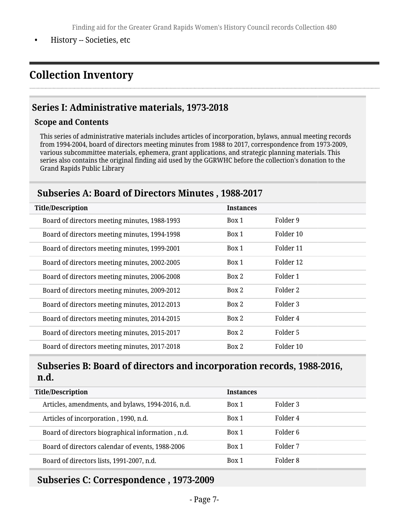• History -- Societies, etc

# <span id="page-6-0"></span>**Collection Inventory**

# <span id="page-6-1"></span>**Series I: Administrative materials, 1973-2018**

#### **Scope and Contents**

This series of administrative materials includes articles of incorporation, bylaws, annual meeting records from 1994-2004, board of directors meeting minutes from 1988 to 2017, correspondence from 1973-2009, various subcommittee materials, ephemera, grant applications, and strategic planning materials. This series also contains the original finding aid used by the GGRWHC before the collection's donation to the Grand Rapids Public Library

### <span id="page-6-2"></span>**Subseries A: Board of Directors Minutes , 1988-2017**

| <b>Title/Description</b>                      | <b>Instances</b> |           |
|-----------------------------------------------|------------------|-----------|
| Board of directors meeting minutes, 1988-1993 | Box 1            | Folder 9  |
| Board of directors meeting minutes, 1994-1998 | Box 1            | Folder 10 |
| Board of directors meeting minutes, 1999-2001 | Box 1            | Folder 11 |
| Board of directors meeting minutes, 2002-2005 | Box 1            | Folder 12 |
| Board of directors meeting minutes, 2006-2008 | Box 2            | Folder 1  |
| Board of directors meeting minutes, 2009-2012 | Box 2            | Folder 2  |
| Board of directors meeting minutes, 2012-2013 | Box 2            | Folder 3  |
| Board of directors meeting minutes, 2014-2015 | Box 2            | Folder 4  |
| Board of directors meeting minutes, 2015-2017 | Box 2            | Folder 5  |
| Board of directors meeting minutes, 2017-2018 | Box 2            | Folder 10 |

# <span id="page-6-3"></span>**Subseries B: Board of directors and incorporation records, 1988-2016, n.d.**

| <b>Title/Description</b>                          | <b>Instances</b> |          |
|---------------------------------------------------|------------------|----------|
| Articles, amendments, and bylaws, 1994-2016, n.d. | Box 1            | Folder 3 |
| Articles of incorporation, 1990, n.d.             | Box 1            | Folder 4 |
| Board of directors biographical information, n.d. | Box 1            | Folder 6 |
| Board of directors calendar of events, 1988-2006  | Box 1            | Folder 7 |
| Board of directors lists, 1991-2007, n.d.         | Box 1            | Folder 8 |

# <span id="page-6-4"></span>**Subseries C: Correspondence , 1973-2009**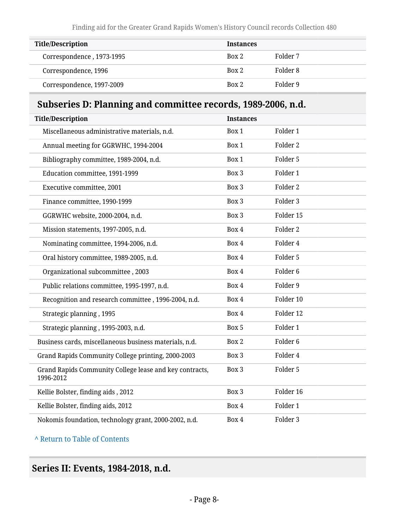| <b>Title/Description</b>  | <b>Instances</b> |          |
|---------------------------|------------------|----------|
| Correspondence, 1973-1995 | Box 2            | Folder 7 |
| Correspondence, 1996      | Box 2            | Folder 8 |
| Correspondence, 1997-2009 | Box 2            | Folder 9 |

# <span id="page-7-0"></span>**Subseries D: Planning and committee records, 1989-2006, n.d.**

| <b>Title/Description</b>                                             | <b>Instances</b> |                     |
|----------------------------------------------------------------------|------------------|---------------------|
| Miscellaneous administrative materials, n.d.                         | Box 1            | Folder 1            |
| Annual meeting for GGRWHC, 1994-2004                                 | Box 1            | Folder 2            |
| Bibliography committee, 1989-2004, n.d.                              | Box 1            | Folder 5            |
| Education committee, 1991-1999                                       | Box 3            | Folder 1            |
| Executive committee, 2001                                            | Box 3            | Folder 2            |
| Finance committee, 1990-1999                                         | Box 3            | Folder 3            |
| GGRWHC website, 2000-2004, n.d.                                      | Box 3            | Folder 15           |
| Mission statements, 1997-2005, n.d.                                  | Box 4            | Folder 2            |
| Nominating committee, 1994-2006, n.d.                                | Box 4            | Folder 4            |
| Oral history committee, 1989-2005, n.d.                              | Box 4            | Folder 5            |
| Organizational subcommittee, 2003                                    | Box 4            | Folder <sub>6</sub> |
| Public relations committee, 1995-1997, n.d.                          | Box 4            | Folder 9            |
| Recognition and research committee, 1996-2004, n.d.                  | Box 4            | Folder 10           |
| Strategic planning, 1995                                             | Box 4            | Folder 12           |
| Strategic planning, 1995-2003, n.d.                                  | Box 5            | Folder 1            |
| Business cards, miscellaneous business materials, n.d.               | Box 2            | Folder <sub>6</sub> |
| Grand Rapids Community College printing, 2000-2003                   | Box 3            | Folder 4            |
| Grand Rapids Community College lease and key contracts,<br>1996-2012 | Box 3            | Folder 5            |
| Kellie Bolster, finding aids, 2012                                   | Box 3            | Folder 16           |
| Kellie Bolster, finding aids, 2012                                   | Box 4            | Folder 1            |
| Nokomis foundation, technology grant, 2000-2002, n.d.                | Box 4            | Folder 3            |

### **^** [Return to Table of Contents](#page-1-0)

# <span id="page-7-1"></span>**Series II: Events, 1984-2018, n.d.**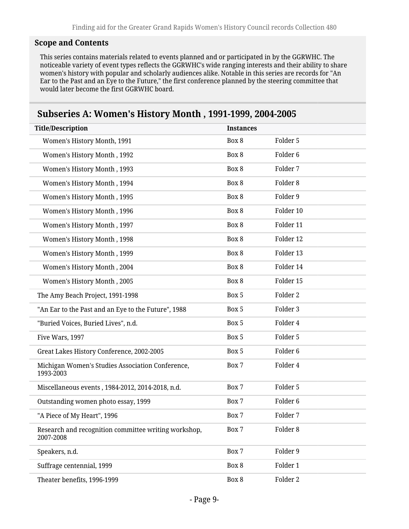### **Scope and Contents**

This series contains materials related to events planned and or participated in by the GGRWHC. The noticeable variety of event types reflects the GGRWHC's wide ranging interests and their ability to share women's history with popular and scholarly audiences alike. Notable in this series are records for "An Ear to the Past and an Eye to the Future," the first conference planned by the steering committee that would later become the first GGRWHC board.

# <span id="page-8-0"></span>**Subseries A: Women's History Month , 1991-1999, 2004-2005**

| <b>Title/Description</b>                                          | <b>Instances</b> |                     |  |
|-------------------------------------------------------------------|------------------|---------------------|--|
| Women's History Month, 1991                                       | Box 8            | Folder 5            |  |
| Women's History Month, 1992                                       | Box 8            | Folder <sub>6</sub> |  |
| Women's History Month, 1993                                       | Box 8            | Folder 7            |  |
| Women's History Month, 1994                                       | Box 8            | Folder 8            |  |
| Women's History Month, 1995                                       | Box 8            | Folder 9            |  |
| Women's History Month, 1996                                       | Box 8            | Folder 10           |  |
| Women's History Month, 1997                                       | Box 8            | Folder 11           |  |
| Women's History Month, 1998                                       | Box 8            | Folder 12           |  |
| Women's History Month, 1999                                       | Box 8            | Folder 13           |  |
| Women's History Month, 2004                                       | Box 8            | Folder 14           |  |
| Women's History Month, 2005                                       | Box 8            | Folder 15           |  |
| The Amy Beach Project, 1991-1998                                  | Box 5            | Folder 2            |  |
| "An Ear to the Past and an Eye to the Future", 1988               | Box 5            | Folder 3            |  |
| "Buried Voices, Buried Lives", n.d.                               | Box 5            | Folder 4            |  |
| Five Wars, 1997                                                   | Box 5            | Folder 5            |  |
| Great Lakes History Conference, 2002-2005                         | Box 5            | Folder <sub>6</sub> |  |
| Michigan Women's Studies Association Conference,<br>1993-2003     | Box 7            | Folder 4            |  |
| Miscellaneous events, 1984-2012, 2014-2018, n.d.                  | Box 7            | Folder 5            |  |
| Outstanding women photo essay, 1999                               | Box 7            | Folder <sub>6</sub> |  |
| "A Piece of My Heart", 1996                                       | Box 7            | Folder 7            |  |
| Research and recognition committee writing workshop,<br>2007-2008 | Box 7            | Folder 8            |  |
| Speakers, n.d.                                                    | Box 7            | Folder 9            |  |
| Suffrage centennial, 1999                                         | Box 8            | Folder 1            |  |
| Theater benefits, 1996-1999                                       | Box 8            | Folder 2            |  |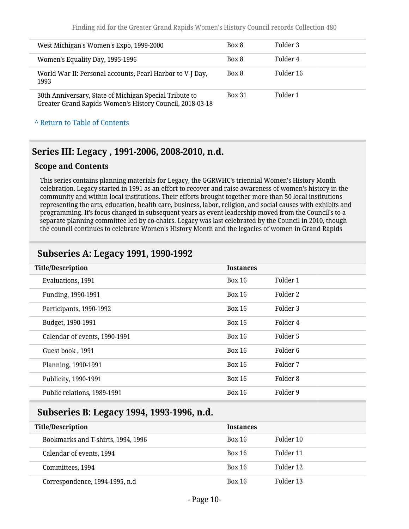Finding aid for the Greater Grand Rapids Women's History Council records Collection 480

| West Michigan's Women's Expo, 1999-2000                                                                            | Box 8         | Folder 3  |
|--------------------------------------------------------------------------------------------------------------------|---------------|-----------|
| Women's Equality Day, 1995-1996                                                                                    | Box 8         | Folder 4  |
| World War II: Personal accounts, Pearl Harbor to V-J Day,<br>1993                                                  | Box 8         | Folder 16 |
| 30th Anniversary, State of Michigan Special Tribute to<br>Greater Grand Rapids Women's History Council, 2018-03-18 | <b>Box 31</b> | Folder 1  |

#### **^** [Return to Table of Contents](#page-1-0)

# <span id="page-9-0"></span>**Series III: Legacy , 1991-2006, 2008-2010, n.d.**

#### **Scope and Contents**

This series contains planning materials for Legacy, the GGRWHC's triennial Women's History Month celebration. Legacy started in 1991 as an effort to recover and raise awareness of women's history in the community and within local institutions. Their efforts brought together more than 50 local institutions representing the arts, education, health care, business, labor, religion, and social causes with exhibits and programming. It's focus changed in subsequent years as event leadership moved from the Council's to a separate planning committee led by co-chairs. Legacy was last celebrated by the Council in 2010, though the council continues to celebrate Women's History Month and the legacies of women in Grand Rapids

# <span id="page-9-1"></span>**Subseries A: Legacy 1991, 1990-1992**

| <b>Instances</b> |                     |
|------------------|---------------------|
| Box 16           | Folder 1            |
| Box 16           | Folder 2            |
| Box 16           | Folder <sub>3</sub> |
| Box 16           | Folder 4            |
| <b>Box 16</b>    | Folder 5            |
| <b>Box 16</b>    | Folder 6            |
| <b>Box 16</b>    | Folder 7            |
| Box 16           | Folder 8            |
| <b>Box 16</b>    | Folder 9            |
|                  |                     |

## <span id="page-9-2"></span>**Subseries B: Legacy 1994, 1993-1996, n.d.**

| <b>Title/Description</b>           | <b>Instances</b> |           |
|------------------------------------|------------------|-----------|
| Bookmarks and T-shirts, 1994, 1996 | <b>Box 16</b>    | Folder 10 |
| Calendar of events, 1994           | <b>Box 16</b>    | Folder 11 |
| Committees, 1994                   | <b>Box 16</b>    | Folder 12 |
| Correspondence, 1994-1995, n.d     | <b>Box 16</b>    | Folder 13 |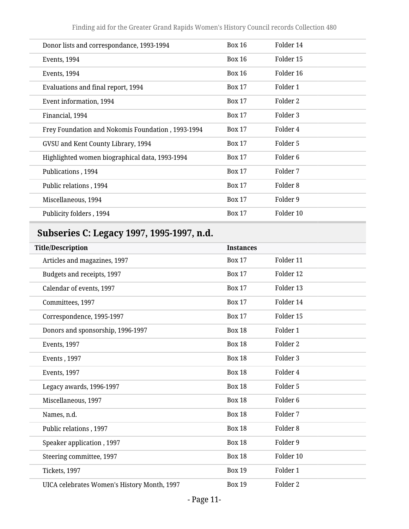Finding aid for the Greater Grand Rapids Women's History Council records Collection 480

| Donor lists and correspondance, 1993-1994         | Box 16        | Folder 14           |
|---------------------------------------------------|---------------|---------------------|
| Events, 1994                                      | Box 16        | Folder 15           |
| Events, 1994                                      | Box 16        | Folder 16           |
| Evaluations and final report, 1994                | <b>Box 17</b> | Folder 1            |
| Event information, 1994                           | <b>Box 17</b> | Folder 2            |
| Financial, 1994                                   | <b>Box 17</b> | Folder 3            |
| Frey Foundation and Nokomis Foundation, 1993-1994 | <b>Box 17</b> | Folder 4            |
| GVSU and Kent County Library, 1994                | <b>Box 17</b> | Folder 5            |
| Highlighted women biographical data, 1993-1994    | <b>Box 17</b> | Folder <sub>6</sub> |
| Publications, 1994                                | <b>Box 17</b> | Folder 7            |
| Public relations, 1994                            | <b>Box 17</b> | Folder 8            |
| Miscellaneous, 1994                               | <b>Box 17</b> | Folder 9            |
| Publicity folders, 1994                           | <b>Box 17</b> | Folder 10           |
|                                                   |               |                     |

# <span id="page-10-0"></span>**Subseries C: Legacy 1997, 1995-1997, n.d.**

| <b>Title/Description</b>                    | <b>Instances</b> |                     |
|---------------------------------------------|------------------|---------------------|
| Articles and magazines, 1997                | <b>Box 17</b>    | Folder 11           |
| Budgets and receipts, 1997                  | <b>Box 17</b>    | Folder 12           |
| Calendar of events, 1997                    | <b>Box 17</b>    | Folder 13           |
| Committees, 1997                            | <b>Box 17</b>    | Folder 14           |
| Correspondence, 1995-1997                   | <b>Box 17</b>    | Folder 15           |
| Donors and sponsorship, 1996-1997           | <b>Box 18</b>    | Folder 1            |
| <b>Events</b> , 1997                        | <b>Box 18</b>    | Folder <sub>2</sub> |
| Events, 1997                                | <b>Box 18</b>    | Folder <sub>3</sub> |
| Events, 1997                                | <b>Box 18</b>    | Folder 4            |
| Legacy awards, 1996-1997                    | <b>Box 18</b>    | Folder 5            |
| Miscellaneous, 1997                         | <b>Box 18</b>    | Folder <sub>6</sub> |
| Names, n.d.                                 | <b>Box 18</b>    | Folder 7            |
| Public relations, 1997                      | <b>Box 18</b>    | Folder <sub>8</sub> |
| Speaker application, 1997                   | <b>Box 18</b>    | Folder 9            |
| Steering committee, 1997                    | <b>Box 18</b>    | Folder 10           |
| Tickets, 1997                               | <b>Box 19</b>    | Folder 1            |
| UICA celebrates Women's History Month, 1997 | <b>Box 19</b>    | Folder <sub>2</sub> |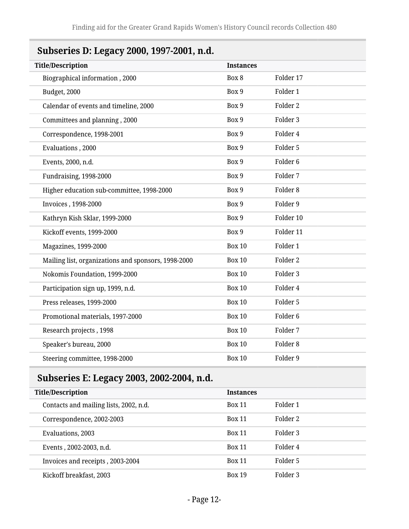# <span id="page-11-0"></span>**Subseries D: Legacy 2000, 1997-2001, n.d.**

| <b>Title/Description</b>                            | <b>Instances</b> |                     |
|-----------------------------------------------------|------------------|---------------------|
| Biographical information, 2000                      | Box 8            | Folder 17           |
| Budget, 2000                                        | Box 9            | Folder 1            |
| Calendar of events and timeline, 2000               | Box 9            | Folder <sub>2</sub> |
| Committees and planning, 2000                       | Box 9            | Folder 3            |
| Correspondence, 1998-2001                           | Box 9            | Folder 4            |
| Evaluations, 2000                                   | Box 9            | Folder 5            |
| Events, 2000, n.d.                                  | Box 9            | Folder <sub>6</sub> |
| Fundraising, 1998-2000                              | Box 9            | Folder 7            |
| Higher education sub-committee, 1998-2000           | Box 9            | Folder 8            |
| Invoices, 1998-2000                                 | Box 9            | Folder 9            |
| Kathryn Kish Sklar, 1999-2000                       | Box 9            | Folder 10           |
| Kickoff events, 1999-2000                           | Box 9            | Folder 11           |
| Magazines, 1999-2000                                | <b>Box 10</b>    | Folder 1            |
| Mailing list, organizations and sponsors, 1998-2000 | <b>Box 10</b>    | Folder <sub>2</sub> |
| Nokomis Foundation, 1999-2000                       | <b>Box 10</b>    | Folder 3            |
| Participation sign up, 1999, n.d.                   | <b>Box 10</b>    | Folder 4            |
| Press releases, 1999-2000                           | <b>Box 10</b>    | Folder 5            |
| Promotional materials, 1997-2000                    | <b>Box 10</b>    | Folder <sub>6</sub> |
| Research projects, 1998                             | <b>Box 10</b>    | Folder 7            |
| Speaker's bureau, 2000                              | <b>Box 10</b>    | Folder <sub>8</sub> |
| Steering committee, 1998-2000                       | <b>Box 10</b>    | Folder 9            |
|                                                     |                  |                     |

# <span id="page-11-1"></span>**Subseries E: Legacy 2003, 2002-2004, n.d.**

| <b>Title/Description</b>               | <b>Instances</b> |          |
|----------------------------------------|------------------|----------|
| Contacts and mailing lists, 2002, n.d. | <b>Box 11</b>    | Folder 1 |
| Correspondence, 2002-2003              | <b>Box 11</b>    | Folder 2 |
| Evaluations, 2003                      | <b>Box 11</b>    | Folder 3 |
| Events, 2002-2003, n.d.                | <b>Box 11</b>    | Folder 4 |
| Invoices and receipts, 2003-2004       | <b>Box 11</b>    | Folder 5 |
| Kickoff breakfast, 2003                | <b>Box 19</b>    | Folder 3 |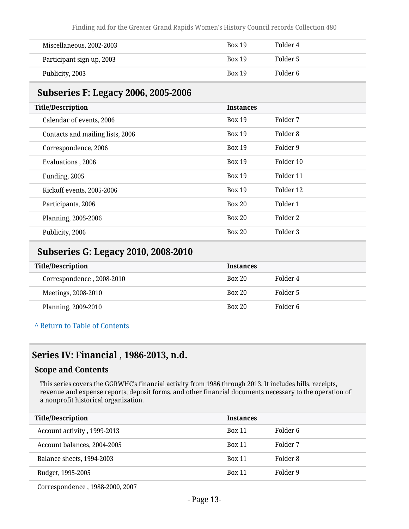Finding aid for the Greater Grand Rapids Women's History Council records Collection 480

| Miscellaneous, 2002-2003  | <b>Box 19</b> | Folder 4 |
|---------------------------|---------------|----------|
| Participant sign up, 2003 | <b>Box 19</b> | Folder 5 |
| Publicity, 2003           | <b>Box 19</b> | Folder 6 |

# <span id="page-12-0"></span>**Subseries F: Legacy 2006, 2005-2006**

| <b>Instances</b> |           |
|------------------|-----------|
| <b>Box 19</b>    | Folder 7  |
| <b>Box 19</b>    | Folder 8  |
| <b>Box 19</b>    | Folder 9  |
| <b>Box 19</b>    | Folder 10 |
| <b>Box 19</b>    | Folder 11 |
| <b>Box 19</b>    | Folder 12 |
| <b>Box 20</b>    | Folder 1  |
| <b>Box 20</b>    | Folder 2  |
| <b>Box 20</b>    | Folder 3  |
|                  |           |

# <span id="page-12-1"></span>**Subseries G: Legacy 2010, 2008-2010**

| <b>Title/Description</b>  | <b>Instances</b> |          |
|---------------------------|------------------|----------|
| Correspondence, 2008-2010 | <b>Box 20</b>    | Folder 4 |
| Meetings, 2008-2010       | <b>Box 20</b>    | Folder 5 |
| Planning, 2009-2010       | <b>Box 20</b>    | Folder 6 |

**^** [Return to Table of Contents](#page-1-0)

### <span id="page-12-2"></span>**Series IV: Financial , 1986-2013, n.d.**

#### **Scope and Contents**

This series covers the GGRWHC's financial activity from 1986 through 2013. It includes bills, receipts, revenue and expense reports, deposit forms, and other financial documents necessary to the operation of a nonprofit historical organization.

| <b>Title/Description</b>    | <b>Instances</b> |          |
|-----------------------------|------------------|----------|
| Account activity, 1999-2013 | <b>Box 11</b>    | Folder 6 |
| Account balances, 2004-2005 | <b>Box 11</b>    | Folder 7 |
| Balance sheets, 1994-2003   | <b>Box 11</b>    | Folder 8 |
| Budget, 1995-2005           | <b>Box 11</b>    | Folder 9 |
|                             |                  |          |

Correspondence , 1988-2000, 2007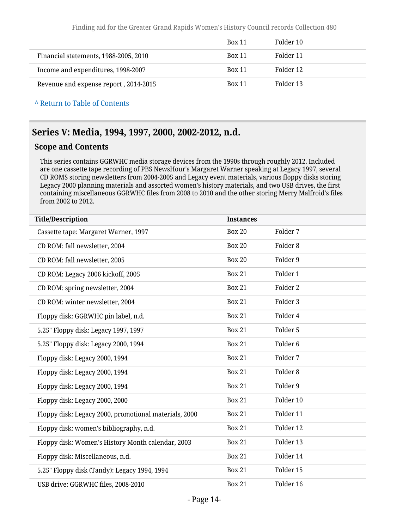|                                       | <b>Box 11</b> | Folder 10 |
|---------------------------------------|---------------|-----------|
| Financial statements, 1988-2005, 2010 | <b>Box 11</b> | Folder 11 |
| Income and expenditures, 1998-2007    | <b>Box 11</b> | Folder 12 |
| Revenue and expense report, 2014-2015 | <b>Box 11</b> | Folder 13 |

**^** [Return to Table of Contents](#page-1-0)

# <span id="page-13-0"></span>**Series V: Media, 1994, 1997, 2000, 2002-2012, n.d.**

### **Scope and Contents**

This series contains GGRWHC media storage devices from the 1990s through roughly 2012. Included are one cassette tape recording of PBS NewsHour's Margaret Warner speaking at Legacy 1997, several CD ROMS storing newsletters from 2004-2005 and Legacy event materials, various floppy disks storing Legacy 2000 planning materials and assorted women's history materials, and two USB drives, the first containing miscellaneous GGRWHC files from 2008 to 2010 and the other storing Merry Malfroid's files from 2002 to 2012.

| <b>Title/Description</b>                              | <b>Instances</b> |                     |
|-------------------------------------------------------|------------------|---------------------|
| Cassette tape: Margaret Warner, 1997                  | <b>Box 20</b>    | Folder 7            |
| CD ROM: fall newsletter, 2004                         | <b>Box 20</b>    | Folder <sub>8</sub> |
| CD ROM: fall newsletter, 2005                         | <b>Box 20</b>    | Folder 9            |
| CD ROM: Legacy 2006 kickoff, 2005                     | <b>Box 21</b>    | Folder 1            |
| CD ROM: spring newsletter, 2004                       | <b>Box 21</b>    | Folder <sub>2</sub> |
| CD ROM: winter newsletter, 2004                       | <b>Box 21</b>    | Folder 3            |
| Floppy disk: GGRWHC pin label, n.d.                   | <b>Box 21</b>    | Folder 4            |
| 5.25" Floppy disk: Legacy 1997, 1997                  | <b>Box 21</b>    | Folder 5            |
| 5.25" Floppy disk: Legacy 2000, 1994                  | <b>Box 21</b>    | Folder <sub>6</sub> |
| Floppy disk: Legacy 2000, 1994                        | <b>Box 21</b>    | Folder 7            |
| Floppy disk: Legacy 2000, 1994                        | <b>Box 21</b>    | Folder <sub>8</sub> |
| Floppy disk: Legacy 2000, 1994                        | <b>Box 21</b>    | Folder 9            |
| Floppy disk: Legacy 2000, 2000                        | <b>Box 21</b>    | Folder 10           |
| Floppy disk: Legacy 2000, promotional materials, 2000 | <b>Box 21</b>    | Folder 11           |
| Floppy disk: women's bibliography, n.d.               | <b>Box 21</b>    | Folder 12           |
| Floppy disk: Women's History Month calendar, 2003     | <b>Box 21</b>    | Folder 13           |
| Floppy disk: Miscellaneous, n.d.                      | <b>Box 21</b>    | Folder 14           |
| 5.25" Floppy disk (Tandy): Legacy 1994, 1994          | <b>Box 21</b>    | Folder 15           |
| USB drive: GGRWHC files, 2008-2010                    | <b>Box 21</b>    | Folder 16           |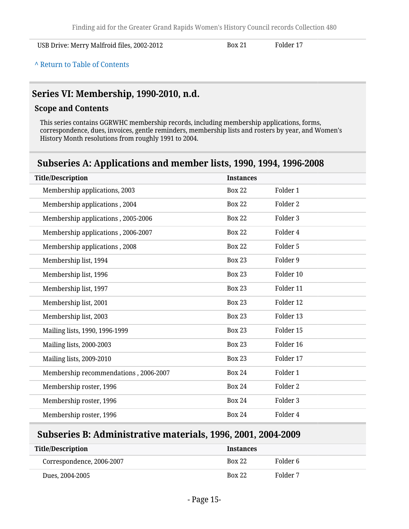USB Drive: Merry Malfroid files, 2002-2012 Box 21 Folder 17

**^** [Return to Table of Contents](#page-1-0)

### <span id="page-14-0"></span>**Series VI: Membership, 1990-2010, n.d.**

### **Scope and Contents**

This series contains GGRWHC membership records, including membership applications, forms, correspondence, dues, invoices, gentle reminders, membership lists and rosters by year, and Women's History Month resolutions from roughly 1991 to 2004.

# <span id="page-14-1"></span>**Subseries A: Applications and member lists, 1990, 1994, 1996-2008**

| <b>Title/Description</b>              | <b>Instances</b> |           |
|---------------------------------------|------------------|-----------|
| Membership applications, 2003         | <b>Box 22</b>    | Folder 1  |
| Membership applications, 2004         | <b>Box 22</b>    | Folder 2  |
| Membership applications, 2005-2006    | <b>Box 22</b>    | Folder 3  |
| Membership applications, 2006-2007    | <b>Box 22</b>    | Folder 4  |
| Membership applications, 2008         | <b>Box 22</b>    | Folder 5  |
| Membership list, 1994                 | <b>Box 23</b>    | Folder 9  |
| Membership list, 1996                 | <b>Box 23</b>    | Folder 10 |
| Membership list, 1997                 | <b>Box 23</b>    | Folder 11 |
| Membership list, 2001                 | <b>Box 23</b>    | Folder 12 |
| Membership list, 2003                 | <b>Box 23</b>    | Folder 13 |
| Mailing lists, 1990, 1996-1999        | <b>Box 23</b>    | Folder 15 |
| Mailing lists, 2000-2003              | <b>Box 23</b>    | Folder 16 |
| Mailing lists, 2009-2010              | <b>Box 23</b>    | Folder 17 |
| Membership recommendations, 2006-2007 | <b>Box 24</b>    | Folder 1  |
| Membership roster, 1996               | <b>Box 24</b>    | Folder 2  |
| Membership roster, 1996               | <b>Box 24</b>    | Folder 3  |
| Membership roster, 1996               | <b>Box 24</b>    | Folder 4  |

### <span id="page-14-2"></span>**Subseries B: Administrative materials, 1996, 2001, 2004-2009**

| Title/Description         | <b>Instances</b> |          |
|---------------------------|------------------|----------|
| Correspondence, 2006-2007 | <b>Box 22</b>    | Folder 6 |
| Dues, 2004-2005           | <b>Box 22</b>    | Folder 7 |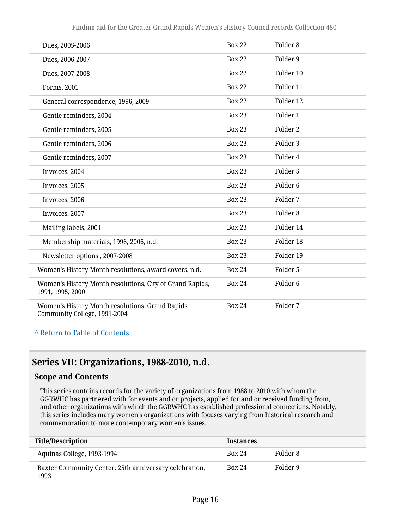| Dues, 2005-2006                                                                 | <b>Box 22</b> | Folder <sub>8</sub> |
|---------------------------------------------------------------------------------|---------------|---------------------|
| Dues, 2006-2007                                                                 | <b>Box 22</b> | Folder 9            |
| Dues, 2007-2008                                                                 | <b>Box 22</b> | Folder 10           |
| Forms, 2001                                                                     | <b>Box 22</b> | Folder 11           |
| General correspondence, 1996, 2009                                              | <b>Box 22</b> | Folder 12           |
| Gentle reminders, 2004                                                          | <b>Box 23</b> | Folder 1            |
| Gentle reminders, 2005                                                          | <b>Box 23</b> | Folder <sub>2</sub> |
| Gentle reminders, 2006                                                          | <b>Box 23</b> | Folder <sub>3</sub> |
| Gentle reminders, 2007                                                          | <b>Box 23</b> | Folder 4            |
| Invoices, 2004                                                                  | <b>Box 23</b> | Folder 5            |
| Invoices, 2005                                                                  | <b>Box 23</b> | Folder <sub>6</sub> |
| Invoices, 2006                                                                  | <b>Box 23</b> | Folder 7            |
| Invoices, 2007                                                                  | <b>Box 23</b> | Folder <sub>8</sub> |
| Mailing labels, 2001                                                            | <b>Box 23</b> | Folder 14           |
| Membership materials, 1996, 2006, n.d.                                          | <b>Box 23</b> | Folder 18           |
| Newsletter options, 2007-2008                                                   | <b>Box 23</b> | Folder 19           |
| Women's History Month resolutions, award covers, n.d.                           | <b>Box 24</b> | Folder 5            |
| Women's History Month resolutions, City of Grand Rapids,<br>1991, 1995, 2000    | <b>Box 24</b> | Folder <sub>6</sub> |
| Women's History Month resolutions, Grand Rapids<br>Community College, 1991-2004 | <b>Box 24</b> | Folder 7            |

#### **^** [Return to Table of Contents](#page-1-0)

# <span id="page-15-0"></span>**Series VII: Organizations, 1988-2010, n.d.**

### **Scope and Contents**

This series contains records for the variety of organizations from 1988 to 2010 with whom the GGRWHC has partnered with for events and or projects, applied for and or received funding from, and other organizations with which the GGRWHC has established professional connections. Notably, this series includes many women's organizations with focuses varying from historical research and commemoration to more contemporary women's issues.

| <b>Title/Description</b>                                       | <b>Instances</b> |          |
|----------------------------------------------------------------|------------------|----------|
| Aquinas College, 1993-1994                                     | <b>Box 24</b>    | Folder 8 |
| Baxter Community Center: 25th anniversary celebration,<br>1993 | <b>Box 24</b>    | Folder 9 |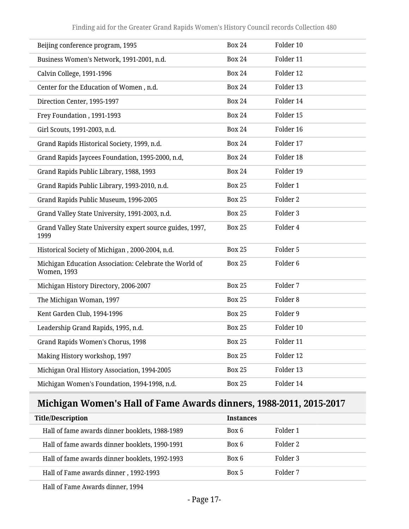| Beijing conference program, 1995                                             | <b>Box 24</b> | Folder 10           |
|------------------------------------------------------------------------------|---------------|---------------------|
| Business Women's Network, 1991-2001, n.d.                                    | <b>Box 24</b> | Folder 11           |
| Calvin College, 1991-1996                                                    | <b>Box 24</b> | Folder 12           |
| Center for the Education of Women, n.d.                                      | <b>Box 24</b> | Folder 13           |
| Direction Center, 1995-1997                                                  | <b>Box 24</b> | Folder 14           |
| Frey Foundation, 1991-1993                                                   | <b>Box 24</b> | Folder 15           |
| Girl Scouts, 1991-2003, n.d.                                                 | <b>Box 24</b> | Folder 16           |
| Grand Rapids Historical Society, 1999, n.d.                                  | <b>Box 24</b> | Folder 17           |
| Grand Rapids Jaycees Foundation, 1995-2000, n.d,                             | <b>Box 24</b> | Folder 18           |
| Grand Rapids Public Library, 1988, 1993                                      | <b>Box 24</b> | Folder 19           |
| Grand Rapids Public Library, 1993-2010, n.d.                                 | <b>Box 25</b> | Folder 1            |
| Grand Rapids Public Museum, 1996-2005                                        | <b>Box 25</b> | Folder 2            |
| Grand Valley State University, 1991-2003, n.d.                               | <b>Box 25</b> | Folder 3            |
| Grand Valley State University expert source guides, 1997,<br>1999            | <b>Box 25</b> | Folder 4            |
| Historical Society of Michigan, 2000-2004, n.d.                              | <b>Box 25</b> | Folder 5            |
| Michigan Education Association: Celebrate the World of<br><b>Women, 1993</b> | <b>Box 25</b> | Folder <sub>6</sub> |
| Michigan History Directory, 2006-2007                                        | <b>Box 25</b> | Folder 7            |
| The Michigan Woman, 1997                                                     | <b>Box 25</b> | Folder 8            |
| Kent Garden Club, 1994-1996                                                  | <b>Box 25</b> | Folder 9            |
| Leadership Grand Rapids, 1995, n.d.                                          | <b>Box 25</b> | Folder 10           |
| Grand Rapids Women's Chorus, 1998                                            | <b>Box 25</b> | Folder 11           |
| Making History workshop, 1997                                                | <b>Box 25</b> | Folder 12           |
| Michigan Oral History Association, 1994-2005                                 | <b>Box 25</b> | Folder 13           |
| Michigan Women's Foundation, 1994-1998, n.d.                                 | <b>Box 25</b> | Folder 14           |

# <span id="page-16-0"></span>**Michigan Women's Hall of Fame Awards dinners, 1988-2011, 2015-2017**

| <b>Title/Description</b>                       | <b>Instances</b> |          |
|------------------------------------------------|------------------|----------|
| Hall of fame awards dinner booklets, 1988-1989 | Box 6            | Folder 1 |
| Hall of fame awards dinner booklets, 1990-1991 | Box 6            | Folder 2 |
| Hall of fame awards dinner booklets, 1992-1993 | Box 6            | Folder 3 |
| Hall of Fame awards dinner, 1992-1993          | Box 5            | Folder 7 |

Hall of Fame Awards dinner, 1994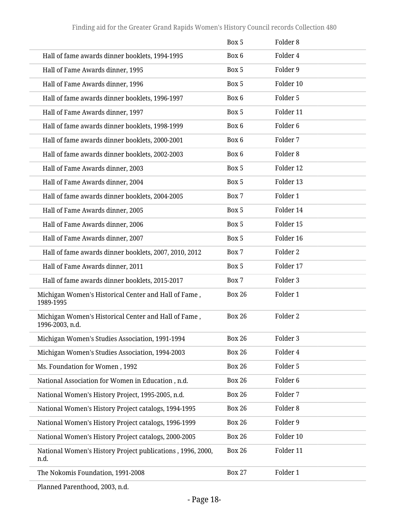|                                                                         | Box 5         | Folder <sub>8</sub> |
|-------------------------------------------------------------------------|---------------|---------------------|
| Hall of fame awards dinner booklets, 1994-1995                          | Box 6         | Folder 4            |
| Hall of Fame Awards dinner, 1995                                        | Box 5         | Folder 9            |
| Hall of Fame Awards dinner, 1996                                        | Box 5         | Folder 10           |
| Hall of fame awards dinner booklets, 1996-1997                          | Box 6         | Folder 5            |
| Hall of Fame Awards dinner, 1997                                        | Box 5         | Folder 11           |
| Hall of fame awards dinner booklets, 1998-1999                          | Box 6         | Folder <sub>6</sub> |
| Hall of fame awards dinner booklets, 2000-2001                          | Box 6         | Folder 7            |
| Hall of fame awards dinner booklets, 2002-2003                          | Box 6         | Folder <sub>8</sub> |
| Hall of Fame Awards dinner, 2003                                        | Box 5         | Folder 12           |
| Hall of Fame Awards dinner, 2004                                        | Box 5         | Folder 13           |
| Hall of fame awards dinner booklets, 2004-2005                          | Box 7         | Folder 1            |
| Hall of Fame Awards dinner, 2005                                        | Box 5         | Folder 14           |
| Hall of Fame Awards dinner, 2006                                        | Box 5         | Folder 15           |
| Hall of Fame Awards dinner, 2007                                        | Box 5         | Folder 16           |
| Hall of fame awards dinner booklets, 2007, 2010, 2012                   | Box 7         | Folder <sub>2</sub> |
| Hall of Fame Awards dinner, 2011                                        | Box 5         | Folder 17           |
| Hall of fame awards dinner booklets, 2015-2017                          | Box 7         | Folder 3            |
| Michigan Women's Historical Center and Hall of Fame,<br>1989-1995       | <b>Box 26</b> | Folder 1            |
| Michigan Women's Historical Center and Hall of Fame,<br>1996-2003, n.d. | <b>Box 26</b> | Folder <sub>2</sub> |
| Michigan Women's Studies Association, 1991-1994                         | <b>Box 26</b> | Folder 3            |
| Michigan Women's Studies Association, 1994-2003                         | <b>Box 26</b> | Folder 4            |
| Ms. Foundation for Women, 1992                                          | <b>Box 26</b> | Folder 5            |
| National Association for Women in Education, n.d.                       | <b>Box 26</b> | Folder <sub>6</sub> |
| National Women's History Project, 1995-2005, n.d.                       | <b>Box 26</b> | Folder 7            |
| National Women's History Project catalogs, 1994-1995                    | <b>Box 26</b> | Folder <sub>8</sub> |
| National Women's History Project catalogs, 1996-1999                    | <b>Box 26</b> | Folder 9            |
| National Women's History Project catalogs, 2000-2005                    | <b>Box 26</b> | Folder 10           |
| National Women's History Project publications, 1996, 2000,<br>n.d.      | <b>Box 26</b> | Folder 11           |
| The Nokomis Foundation, 1991-2008                                       | <b>Box 27</b> | Folder 1            |

Planned Parenthood, 2003, n.d.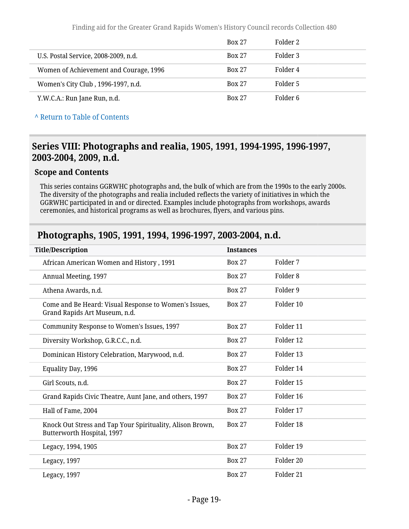|                                        | <b>Box 27</b> | Folder 2 |
|----------------------------------------|---------------|----------|
| U.S. Postal Service, 2008-2009, n.d.   | <b>Box 27</b> | Folder 3 |
| Women of Achievement and Courage, 1996 | <b>Box 27</b> | Folder 4 |
| Women's City Club, 1996-1997, n.d.     | <b>Box 27</b> | Folder 5 |
| Y.W.C.A.: Run Jane Run, n.d.           | <b>Box 27</b> | Folder 6 |

**^** [Return to Table of Contents](#page-1-0)

## <span id="page-18-0"></span>**Series VIII: Photographs and realia, 1905, 1991, 1994-1995, 1996-1997, 2003-2004, 2009, n.d.**

#### **Scope and Contents**

This series contains GGRWHC photographs and, the bulk of which are from the 1990s to the early 2000s. The diversity of the photographs and realia included reflects the variety of initiatives in which the GGRWHC participated in and or directed. Examples include photographs from workshops, awards ceremonies, and historical programs as well as brochures, flyers, and various pins.

### <span id="page-18-1"></span>**Photographs, 1905, 1991, 1994, 1996-1997, 2003-2004, n.d.**

| <b>Title/Description</b>                                                                | <b>Instances</b> |                      |
|-----------------------------------------------------------------------------------------|------------------|----------------------|
| African American Women and History, 1991                                                | <b>Box 27</b>    | Folder 7             |
| Annual Meeting, 1997                                                                    | <b>Box 27</b>    | Folder 8             |
| Athena Awards, n.d.                                                                     | <b>Box 27</b>    | Folder 9             |
| Come and Be Heard: Visual Response to Women's Issues,<br>Grand Rapids Art Museum, n.d.  | <b>Box 27</b>    | Folder 10            |
| Community Response to Women's Issues, 1997                                              | <b>Box 27</b>    | Folder 11            |
| Diversity Workshop, G.R.C.C., n.d.                                                      | <b>Box 27</b>    | Folder 12            |
| Dominican History Celebration, Marywood, n.d.                                           | <b>Box 27</b>    | Folder 13            |
| Equality Day, 1996                                                                      | <b>Box 27</b>    | Folder 14            |
| Girl Scouts, n.d.                                                                       | <b>Box 27</b>    | Folder 15            |
| Grand Rapids Civic Theatre, Aunt Jane, and others, 1997                                 | <b>Box 27</b>    | Folder 16            |
| Hall of Fame, 2004                                                                      | <b>Box 27</b>    | Folder 17            |
| Knock Out Stress and Tap Your Spirituality, Alison Brown,<br>Butterworth Hospital, 1997 | <b>Box 27</b>    | Folder 18            |
| Legacy, 1994, 1905                                                                      | <b>Box 27</b>    | Folder 19            |
| Legacy, 1997                                                                            | <b>Box 27</b>    | Folder 20            |
| Legacy, 1997                                                                            | <b>Box 27</b>    | Folder <sub>21</sub> |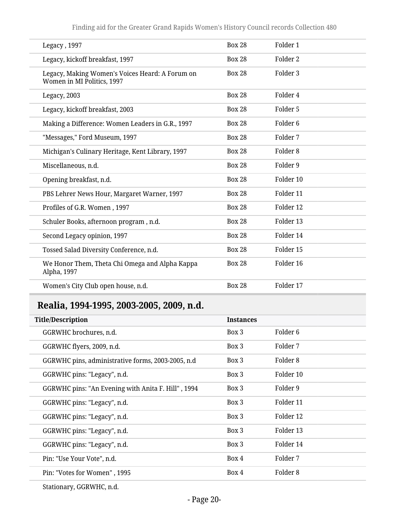| Legacy, 1997                                                                  | <b>Box 28</b> | Folder 1            |
|-------------------------------------------------------------------------------|---------------|---------------------|
| Legacy, kickoff breakfast, 1997                                               | <b>Box 28</b> | Folder 2            |
| Legacy, Making Women's Voices Heard: A Forum on<br>Women in MI Politics, 1997 | <b>Box 28</b> | Folder 3            |
| Legacy, 2003                                                                  | <b>Box 28</b> | Folder 4            |
| Legacy, kickoff breakfast, 2003                                               | <b>Box 28</b> | Folder 5            |
| Making a Difference: Women Leaders in G.R., 1997                              | <b>Box 28</b> | Folder <sub>6</sub> |
| "Messages," Ford Museum, 1997                                                 | <b>Box 28</b> | Folder 7            |
| Michigan's Culinary Heritage, Kent Library, 1997                              | <b>Box 28</b> | Folder <sub>8</sub> |
| Miscellaneous, n.d.                                                           | <b>Box 28</b> | Folder 9            |
| Opening breakfast, n.d.                                                       | <b>Box 28</b> | Folder 10           |
| PBS Lehrer News Hour, Margaret Warner, 1997                                   | <b>Box 28</b> | Folder 11           |
| Profiles of G.R. Women, 1997                                                  | <b>Box 28</b> | Folder 12           |
| Schuler Books, afternoon program, n.d.                                        | <b>Box 28</b> | Folder 13           |
| Second Legacy opinion, 1997                                                   | <b>Box 28</b> | Folder 14           |
| Tossed Salad Diversity Conference, n.d.                                       | <b>Box 28</b> | Folder 15           |
| We Honor Them, Theta Chi Omega and Alpha Kappa<br>Alpha, 1997                 | <b>Box 28</b> | Folder 16           |
| Women's City Club open house, n.d.                                            | <b>Box 28</b> | Folder 17           |

# <span id="page-19-0"></span>**Realia, 1994-1995, 2003-2005, 2009, n.d.**

| <b>Title/Description</b>                           | <b>Instances</b> |           |
|----------------------------------------------------|------------------|-----------|
| GGRWHC brochures, n.d.                             | Box 3            | Folder 6  |
| GGRWHC flyers, 2009, n.d.                          | Box 3            | Folder 7  |
| GGRWHC pins, administrative forms, 2003-2005, n.d. | Box 3            | Folder 8  |
| GGRWHC pins: "Legacy", n.d.                        | Box 3            | Folder 10 |
| GGRWHC pins: "An Evening with Anita F. Hill", 1994 | Box 3            | Folder 9  |
| GGRWHC pins: "Legacy", n.d.                        | Box 3            | Folder 11 |
| GGRWHC pins: "Legacy", n.d.                        | Box 3            | Folder 12 |
| GGRWHC pins: "Legacy", n.d.                        | Box 3            | Folder 13 |
| GGRWHC pins: "Legacy", n.d.                        | Box 3            | Folder 14 |
| Pin: "Use Your Vote", n.d.                         | Box 4            | Folder 7  |
| Pin: "Votes for Women", 1995                       | Box 4            | Folder 8  |
|                                                    |                  |           |

Stationary, GGRWHC, n.d.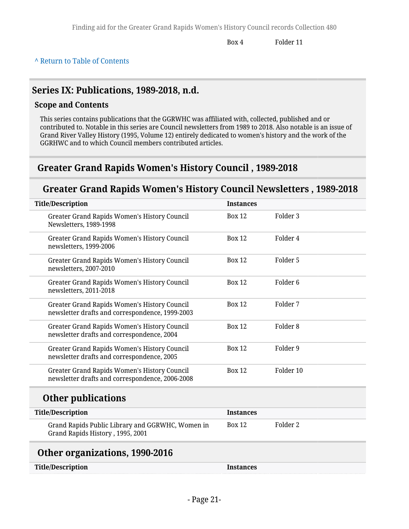Box 4 Folder 11

#### **^** [Return to Table of Contents](#page-1-0)

### <span id="page-20-0"></span>**Series IX: Publications, 1989-2018, n.d.**

### **Scope and Contents**

This series contains publications that the GGRWHC was affiliated with, collected, published and or contributed to. Notable in this series are Council newsletters from 1989 to 2018. Also notable is an issue of Grand River Valley History (1995, Volume 12) entirely dedicated to women's history and the work of the GGRHWC and to which Council members contributed articles.

### <span id="page-20-1"></span>**Greater Grand Rapids Women's History Council , 1989-2018**

# **Greater Grand Rapids Women's History Council Newsletters , 1989-2018**

<span id="page-20-2"></span>

| <b>Title/Description</b>                                                                               | <b>Instances</b> |                     |
|--------------------------------------------------------------------------------------------------------|------------------|---------------------|
| Greater Grand Rapids Women's History Council<br>Newsletters, 1989-1998                                 | <b>Box 12</b>    | Folder <sub>3</sub> |
| Greater Grand Rapids Women's History Council<br>newsletters, 1999-2006                                 | <b>Box 12</b>    | Folder 4            |
| Greater Grand Rapids Women's History Council<br>newsletters, 2007-2010                                 | <b>Box 12</b>    | Folder 5            |
| Greater Grand Rapids Women's History Council<br>newsletters, 2011-2018                                 | <b>Box 12</b>    | Folder <sub>6</sub> |
| Greater Grand Rapids Women's History Council<br>newsletter drafts and correspondence, 1999-2003        | <b>Box 12</b>    | Folder 7            |
| <b>Greater Grand Rapids Women's History Council</b><br>newsletter drafts and correspondence, 2004      | <b>Box 12</b>    | Folder <sub>8</sub> |
| <b>Greater Grand Rapids Women's History Council</b><br>newsletter drafts and correspondence, 2005      | <b>Box 12</b>    | Folder 9            |
| <b>Greater Grand Rapids Women's History Council</b><br>newsletter drafts and correspondence, 2006-2008 | <b>Box 12</b>    | Folder 10           |
| <b>Other publications</b>                                                                              |                  |                     |
| <b>Title/Description</b>                                                                               | <b>Instances</b> |                     |
| Grand Rapids Public Library and GGRWHC, Women in<br>Grand Rapids History, 1995, 2001                   | <b>Box 12</b>    | Folder <sub>2</sub> |
| Other organizations, 1990-2016                                                                         |                  |                     |
| <b>Title/Description</b>                                                                               | <b>Instances</b> |                     |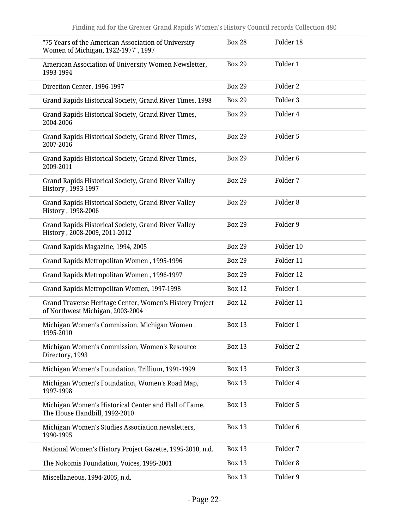| "75 Years of the American Association of University<br>Women of Michigan, 1922-1977", 1997  | <b>Box 28</b> | Folder 18           |
|---------------------------------------------------------------------------------------------|---------------|---------------------|
| American Association of University Women Newsletter,<br>1993-1994                           | <b>Box 29</b> | Folder 1            |
| Direction Center, 1996-1997                                                                 | <b>Box 29</b> | Folder 2            |
| Grand Rapids Historical Society, Grand River Times, 1998                                    | <b>Box 29</b> | Folder 3            |
| Grand Rapids Historical Society, Grand River Times,<br>2004-2006                            | <b>Box 29</b> | Folder 4            |
| Grand Rapids Historical Society, Grand River Times,<br>2007-2016                            | <b>Box 29</b> | Folder 5            |
| Grand Rapids Historical Society, Grand River Times,<br>2009-2011                            | <b>Box 29</b> | Folder <sub>6</sub> |
| Grand Rapids Historical Society, Grand River Valley<br>History, 1993-1997                   | <b>Box 29</b> | Folder 7            |
| Grand Rapids Historical Society, Grand River Valley<br>History, 1998-2006                   | <b>Box 29</b> | Folder <sub>8</sub> |
| Grand Rapids Historical Society, Grand River Valley<br>History, 2008-2009, 2011-2012        | <b>Box 29</b> | Folder 9            |
| Grand Rapids Magazine, 1994, 2005                                                           | <b>Box 29</b> | Folder 10           |
| Grand Rapids Metropolitan Women, 1995-1996                                                  | <b>Box 29</b> | Folder 11           |
| Grand Rapids Metropolitan Women, 1996-1997                                                  | <b>Box 29</b> | Folder 12           |
| Grand Rapids Metropolitan Women, 1997-1998                                                  | <b>Box 12</b> | Folder 1            |
| Grand Traverse Heritage Center, Women's History Project<br>of Northwest Michigan, 2003-2004 | <b>Box 12</b> | Folder 11           |
| Michigan Women's Commission, Michigan Women,<br>1995-2010                                   | <b>Box 13</b> | Folder 1            |
| Michigan Women's Commission, Women's Resource<br>Directory, 1993                            | <b>Box 13</b> | Folder 2            |
| Michigan Women's Foundation, Trillium, 1991-1999                                            | <b>Box 13</b> | Folder 3            |
| Michigan Women's Foundation, Women's Road Map,<br>1997-1998                                 | <b>Box 13</b> | Folder 4            |
| Michigan Women's Historical Center and Hall of Fame,<br>The House Handbill, 1992-2010       | <b>Box 13</b> | Folder 5            |
| Michigan Women's Studies Association newsletters,<br>1990-1995                              | <b>Box 13</b> | Folder <sub>6</sub> |
| National Women's History Project Gazette, 1995-2010, n.d.                                   | <b>Box 13</b> | Folder 7            |
| The Nokomis Foundation, Voices, 1995-2001                                                   | <b>Box 13</b> | Folder <sub>8</sub> |
| Miscellaneous, 1994-2005, n.d.                                                              | <b>Box 13</b> | Folder 9            |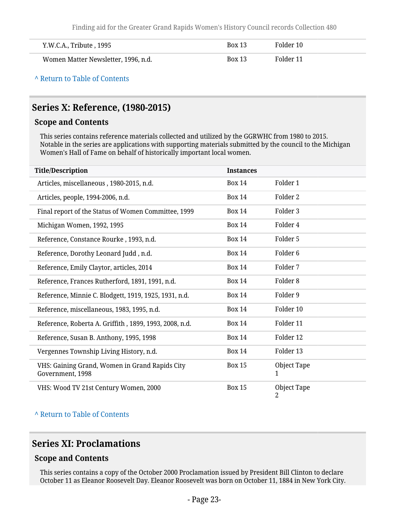Finding aid for the Greater Grand Rapids Women's History Council records Collection 480

| Y.W.C.A., Tribute , 1995            | <b>Box 13</b> | Folder 10 |
|-------------------------------------|---------------|-----------|
| Women Matter Newsletter, 1996, n.d. | <b>Box 13</b> | Folder 11 |

**^** [Return to Table of Contents](#page-1-0)

# <span id="page-22-0"></span>**Series X: Reference, (1980-2015)**

#### **Scope and Contents**

This series contains reference materials collected and utilized by the GGRWHC from 1980 to 2015. Notable in the series are applications with supporting materials submitted by the council to the Michigan Women's Hall of Fame on behalf of historically important local women.

| <b>Title/Description</b>                                           | <b>Instances</b> |                     |
|--------------------------------------------------------------------|------------------|---------------------|
| Articles, miscellaneous, 1980-2015, n.d.                           | <b>Box 14</b>    | Folder 1            |
| Articles, people, 1994-2006, n.d.                                  | <b>Box 14</b>    | Folder 2            |
| Final report of the Status of Women Committee, 1999                | <b>Box 14</b>    | Folder 3            |
| Michigan Women, 1992, 1995                                         | <b>Box 14</b>    | Folder 4            |
| Reference, Constance Rourke, 1993, n.d.                            | <b>Box 14</b>    | Folder 5            |
| Reference, Dorothy Leonard Judd, n.d.                              | <b>Box 14</b>    | Folder <sub>6</sub> |
| Reference, Emily Claytor, articles, 2014                           | <b>Box 14</b>    | Folder 7            |
| Reference, Frances Rutherford, 1891, 1991, n.d.                    | <b>Box 14</b>    | Folder <sub>8</sub> |
| Reference, Minnie C. Blodgett, 1919, 1925, 1931, n.d.              | <b>Box 14</b>    | Folder 9            |
| Reference, miscellaneous, 1983, 1995, n.d.                         | <b>Box 14</b>    | Folder 10           |
| Reference, Roberta A. Griffith, 1899, 1993, 2008, n.d.             | <b>Box 14</b>    | Folder 11           |
| Reference, Susan B. Anthony, 1995, 1998                            | <b>Box 14</b>    | Folder 12           |
| Vergennes Township Living History, n.d.                            | <b>Box 14</b>    | Folder 13           |
| VHS: Gaining Grand, Women in Grand Rapids City<br>Government, 1998 | <b>Box 15</b>    | Object Tape<br>1    |
| VHS: Wood TV 21st Century Women, 2000                              | <b>Box 15</b>    | Object Tape<br>2    |

#### **^** [Return to Table of Contents](#page-1-0)

### <span id="page-22-1"></span>**Series XI: Proclamations**

### **Scope and Contents**

This series contains a copy of the October 2000 Proclamation issued by President Bill Clinton to declare October 11 as Eleanor Roosevelt Day. Eleanor Roosevelt was born on October 11, 1884 in New York City.